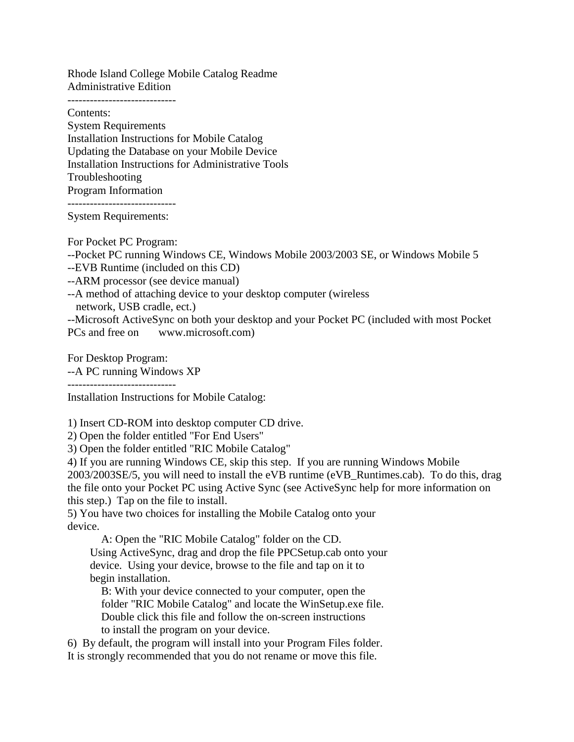Rhode Island College Mobile Catalog Readme Administrative Edition

-----------------------------

Contents: System Requirements Installation Instructions for Mobile Catalog Updating the Database on your Mobile Device Installation Instructions for Administrative Tools Troubleshooting Program Information

-----------------------------

System Requirements:

For Pocket PC Program: --Pocket PC running Windows CE, Windows Mobile 2003/2003 SE, or Windows Mobile 5 --EVB Runtime (included on this CD)

--ARM processor (see device manual)

--A method of attaching device to your desktop computer (wireless

network, USB cradle, ect.)

--Microsoft ActiveSync on both your desktop and your Pocket PC (included with most Pocket PCs and free on www.microsoft.com)

For Desktop Program: --A PC running Windows XP -----------------------------

Installation Instructions for Mobile Catalog:

1) Insert CD-ROM into desktop computer CD drive.

2) Open the folder entitled "For End Users"

3) Open the folder entitled "RIC Mobile Catalog"

4) If you are running Windows CE, skip this step. If you are running Windows Mobile 2003/2003SE/5, you will need to install the eVB runtime (eVB\_Runtimes.cab). To do this, drag the file onto your Pocket PC using Active Sync (see ActiveSync help for more information on this step.) Tap on the file to install.

5) You have two choices for installing the Mobile Catalog onto your device.

A: Open the "RIC Mobile Catalog" folder on the CD. Using ActiveSync, drag and drop the file PPCSetup.cab onto your device. Using your device, browse to the file and tap on it to begin installation.

B: With your device connected to your computer, open the folder "RIC Mobile Catalog" and locate the WinSetup.exe file. Double click this file and follow the on-screen instructions to install the program on your device.

6) By default, the program will install into your Program Files folder. It is strongly recommended that you do not rename or move this file.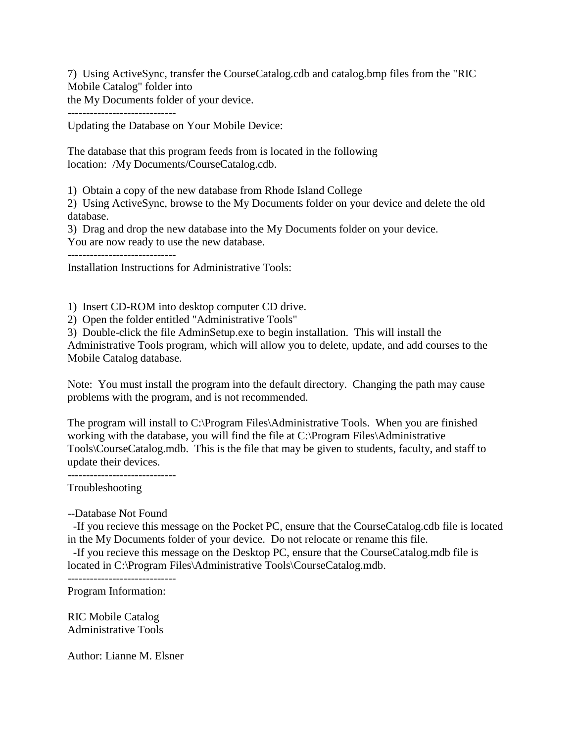7) Using ActiveSync, transfer the CourseCatalog.cdb and catalog.bmp files from the "RIC Mobile Catalog" folder into

the My Documents folder of your device.

-----------------------------

Updating the Database on Your Mobile Device:

The database that this program feeds from is located in the following location: /My Documents/CourseCatalog.cdb.

1) Obtain a copy of the new database from Rhode Island College

2) Using ActiveSync, browse to the My Documents folder on your device and delete the old database.

3) Drag and drop the new database into the My Documents folder on your device. You are now ready to use the new database.

-----------------------------

Installation Instructions for Administrative Tools:

1) Insert CD-ROM into desktop computer CD drive.

2) Open the folder entitled "Administrative Tools"

3) Double-click the file AdminSetup.exe to begin installation. This will install the Administrative Tools program, which will allow you to delete, update, and add courses to the Mobile Catalog database.

Note: You must install the program into the default directory. Changing the path may cause problems with the program, and is not recommended.

The program will install to C:\Program Files\Administrative Tools. When you are finished working with the database, you will find the file at C:\Program Files\Administrative Tools\CourseCatalog.mdb. This is the file that may be given to students, faculty, and staff to update their devices.

-----------------------------

Troubleshooting

--Database Not Found

 -If you recieve this message on the Pocket PC, ensure that the CourseCatalog.cdb file is located in the My Documents folder of your device. Do not relocate or rename this file.

 -If you recieve this message on the Desktop PC, ensure that the CourseCatalog.mdb file is located in C:\Program Files\Administrative Tools\CourseCatalog.mdb.

-----------------------------

Program Information:

RIC Mobile Catalog Administrative Tools

Author: Lianne M. Elsner